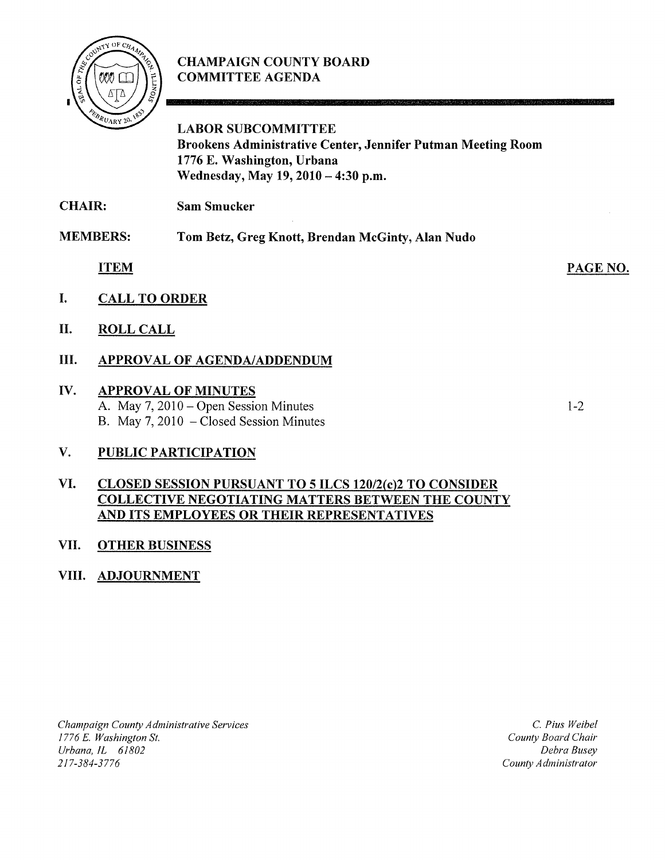

## **CHAMPAIGN COUNTY BOARD COMMITTEE AGENDA**

**LABOR SUBCOMMITTEE Brookens Administrative Center, Jennifer Putman Meeting Room 1776 E. Washington, Urbana Wednesday, May 19,2010 - 4:30 p.m.** 

**CHAIR: Sam Smucker** 

**MEMBERS: Tom Betz, Greg Knott, Brendan McGinty, Alan Nudo** 

**ITEM** 

- **I. CALL TO ORDER**
- **II. ROLL CALL**

## **III. APPROVAL OF AGENDA/ADDENDUM**

# **IV. APPROVAL OF MINUTES**

A. May 7, 2010 – Open Session Minutes B. May 7, 2010 - Closed Session Minutes

**V. PUBLIC PARTICIPATION** 

#### **VI. CLOSED SESSION PURSUANT TO 5 ILCS 120/2(c)2 TO CONSIDER COLLECTIVE NEGOTIATING MATTERS BETWEEN THE COUNTY AND ITS EMPLOYEES OR THEIR REPRESENTATIVES**

## **VII. OTHER BUSINESS**

### **VIII. ADJOURNMENT**

*Champaign County Administrative Services 1776* E. *Washington* St. *Urbana, IL 61802*  217-384-3776

C. *Pius Weibel County Board Chair Debra Busey County Administrator* 

PAGE NO.

**TAXABLE IN THE REAL PROPERTY** 

1-2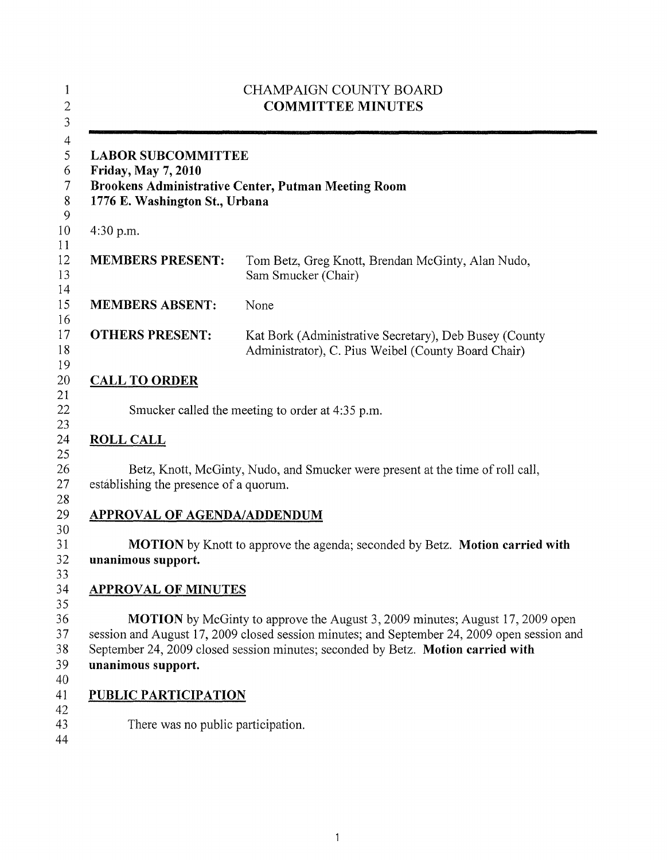|                                                                                           | <b>CHAMPAIGN COUNTY BOARD</b><br><b>COMMITTEE MINUTES</b>                                                                                                                                                                                                               |
|-------------------------------------------------------------------------------------------|-------------------------------------------------------------------------------------------------------------------------------------------------------------------------------------------------------------------------------------------------------------------------|
| <b>LABOR SUBCOMMITTEE</b><br><b>Friday, May 7, 2010</b><br>1776 E. Washington St., Urbana | Brookens Administrative Center, Putman Meeting Room                                                                                                                                                                                                                     |
| $4:30$ p.m.                                                                               |                                                                                                                                                                                                                                                                         |
| <b>MEMBERS PRESENT:</b>                                                                   | Tom Betz, Greg Knott, Brendan McGinty, Alan Nudo,<br>Sam Smucker (Chair)                                                                                                                                                                                                |
| <b>MEMBERS ABSENT:</b>                                                                    | None                                                                                                                                                                                                                                                                    |
| <b>OTHERS PRESENT:</b>                                                                    | Kat Bork (Administrative Secretary), Deb Busey (County<br>Administrator), C. Pius Weibel (County Board Chair)                                                                                                                                                           |
| <b>CALL TO ORDER</b>                                                                      |                                                                                                                                                                                                                                                                         |
|                                                                                           | Smucker called the meeting to order at 4:35 p.m.                                                                                                                                                                                                                        |
| <b>ROLL CALL</b>                                                                          |                                                                                                                                                                                                                                                                         |
| establishing the presence of a quorum.                                                    | Betz, Knott, McGinty, Nudo, and Smucker were present at the time of roll call,                                                                                                                                                                                          |
| <b>APPROVAL OF AGENDA/ADDENDUM</b>                                                        |                                                                                                                                                                                                                                                                         |
| unanimous support.                                                                        | <b>MOTION</b> by Knott to approve the agenda; seconded by Betz. Motion carried with                                                                                                                                                                                     |
| <b>APPROVAL OF MINUTES</b>                                                                |                                                                                                                                                                                                                                                                         |
| unanimous support.                                                                        | <b>MOTION</b> by McGinty to approve the August 3, 2009 minutes; August 17, 2009 open<br>session and August 17, 2009 closed session minutes; and September 24, 2009 open session and<br>September 24, 2009 closed session minutes; seconded by Betz. Motion carried with |
| <b>PUBLIC PARTICIPATION</b>                                                               |                                                                                                                                                                                                                                                                         |
| There was no public participation.                                                        |                                                                                                                                                                                                                                                                         |